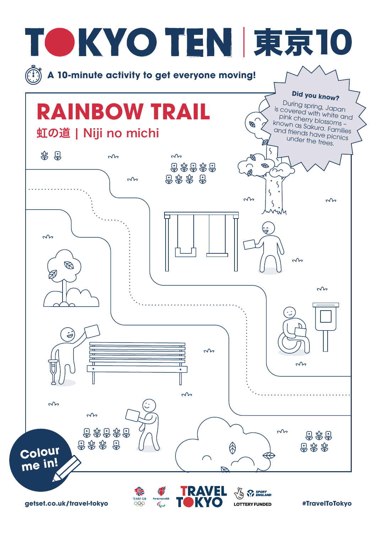